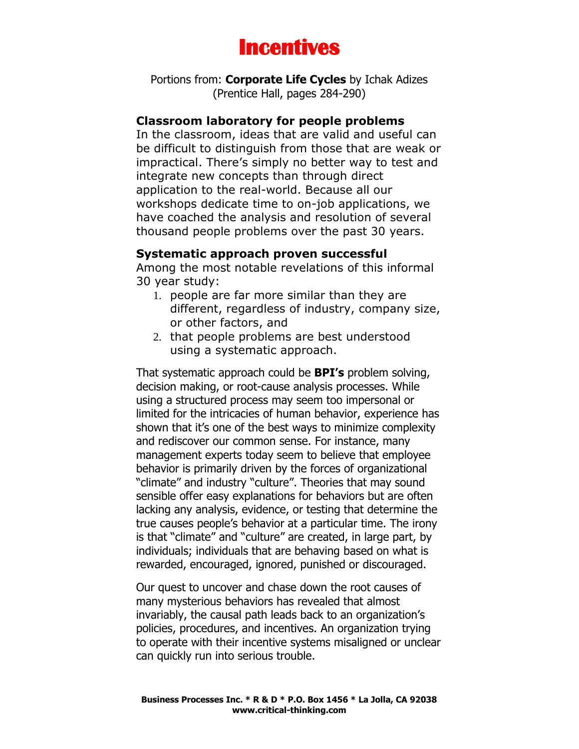

Portions from: **Corporate Life Cycles** by Ichak Adizes (Prentice Hall, pages 284-290)

# **Classroom laboratory for people problems**

In the classroom, ideas that are valid and useful can be difficult to distinguish from those that are weak or impractical. There's simply no better way to test and integrate new concepts than through direct application to the real-world. Because all our workshops dedicate time to on-job applications, we have coached the analysis and resolution of several thousand people problems over the past 30 years.

#### **Systematic approach proven successful**

Among the most notable revelations of this informal 30 year study:

- 1. people are far more similar than they are different, regardless of industry, company size, or other factors, and
- 2. that people problems are best understood using a systematic approach.

That systematic approach could be **BPI's** problem solving, decision making, or root-cause analysis processes. While using a structured process may seem too impersonal or limited for the intricacies of human behavior, experience has shown that it's one of the best ways to minimize complexity and rediscover our common sense. For instance, many management experts today seem to believe that employee behavior is primarily driven by the forces of organizational "climate" and industry "culture". Theories that may sound sensible offer easy explanations for behaviors but are often lacking any analysis, evidence, or testing that determine the true causes people's behavior at a particular time. The irony is that "climate" and "culture" are created, in large part, by individuals; individuals that are behaving based on what is rewarded, encouraged, ignored, punished or discouraged.

Our quest to uncover and chase down the root causes of many mysterious behaviors has revealed that almost invariably, the causal path leads back to an organization's policies, procedures, and incentives. An organization trying to operate with their incentive systems misaligned or unclear can quickly run into serious trouble.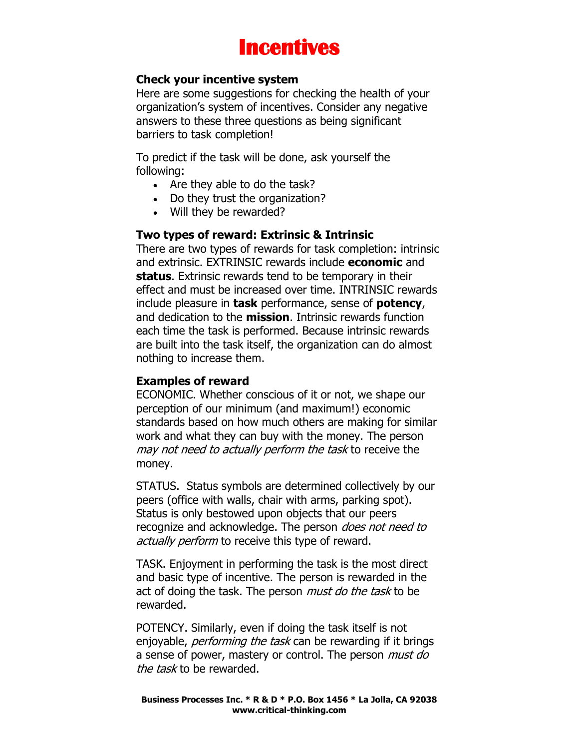

#### **Check your incentive system**

Here are some suggestions for checking the health of your organization's system of incentives. Consider any negative answers to these three questions as being significant barriers to task completion!

To predict if the task will be done, ask yourself the following:

- Are they able to do the task?
- Do they trust the organization?
- Will they be rewarded?

#### **Two types of reward: Extrinsic & Intrinsic**

There are two types of rewards for task completion: intrinsic and extrinsic. EXTRINSIC rewards include **economic** and **status**. Extrinsic rewards tend to be temporary in their effect and must be increased over time. INTRINSIC rewards include pleasure in **task** performance, sense of **potency**, and dedication to the **mission**. Intrinsic rewards function each time the task is performed. Because intrinsic rewards are built into the task itself, the organization can do almost nothing to increase them.

### **Examples of reward**

ECONOMIC. Whether conscious of it or not, we shape our perception of our minimum (and maximum!) economic standards based on how much others are making for similar work and what they can buy with the money. The person may not need to actually perform the task to receive the money.

STATUS. Status symbols are determined collectively by our peers (office with walls, chair with arms, parking spot). Status is only bestowed upon objects that our peers recognize and acknowledge. The person *does not need to* actually perform to receive this type of reward.

TASK. Enjoyment in performing the task is the most direct and basic type of incentive. The person is rewarded in the act of doing the task. The person *must do the task* to be rewarded.

POTENCY. Similarly, even if doing the task itself is not enjoyable, *performing the task* can be rewarding if it brings a sense of power, mastery or control. The person *must do* the task to be rewarded.